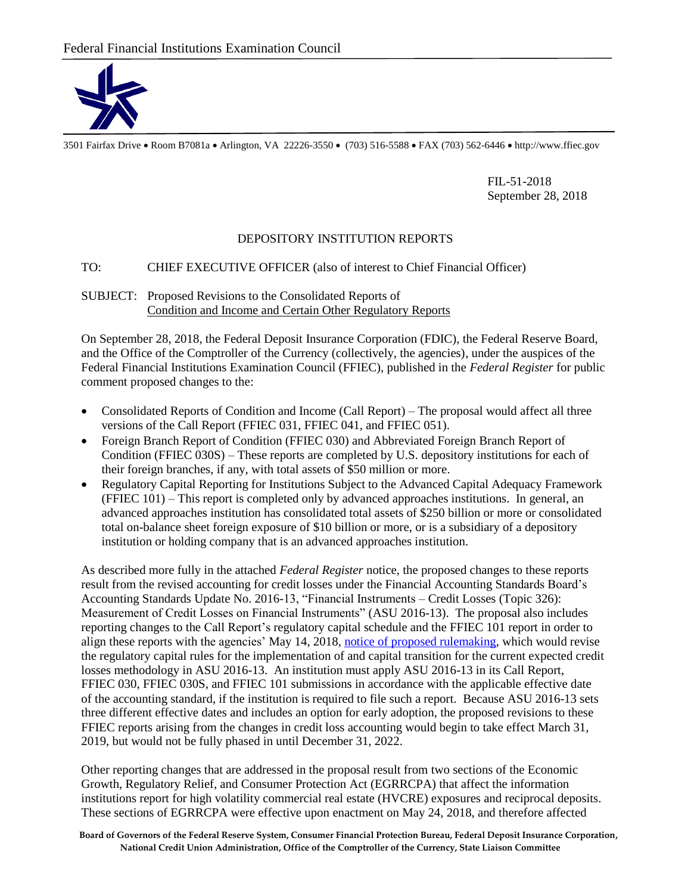

3501 Fairfax Drive Room B7081a Arlington, VA 22226-3550 (703) 516-5588 FAX (703) 562-6446 http://www.ffiec.gov

FIL-51-2018 September 28, 2018

## DEPOSITORY INSTITUTION REPORTS

## TO: CHIEF EXECUTIVE OFFICER (also of interest to Chief Financial Officer)

## SUBJECT: Proposed Revisions to the Consolidated Reports of Condition and Income and Certain Other Regulatory Reports

On September 28, 2018, the Federal Deposit Insurance Corporation (FDIC), the Federal Reserve Board, and the Office of the Comptroller of the Currency (collectively, the agencies), under the auspices of the Federal Financial Institutions Examination Council (FFIEC), published in the *Federal Register* for public comment proposed changes to the:

- Consolidated Reports of Condition and Income (Call Report) ‒ The proposal would affect all three versions of the Call Report (FFIEC 031, FFIEC 041, and FFIEC 051).
- Foreign Branch Report of Condition (FFIEC 030) and Abbreviated Foreign Branch Report of Condition (FFIEC 030S) – These reports are completed by U.S. depository institutions for each of their foreign branches, if any, with total assets of \$50 million or more.
- Regulatory Capital Reporting for Institutions Subject to the Advanced Capital Adequacy Framework (FFIEC 101) ‒ This report is completed only by advanced approaches institutions. In general, an advanced approaches institution has consolidated total assets of \$250 billion or more or consolidated total on-balance sheet foreign exposure of \$10 billion or more, or is a subsidiary of a depository institution or holding company that is an advanced approaches institution.

As described more fully in the attached *Federal Register* notice, the proposed changes to these reports result from the revised accounting for credit losses under the Financial Accounting Standards Board's Accounting Standards Update No. 2016-13, "Financial Instruments – Credit Losses (Topic 326): Measurement of Credit Losses on Financial Instruments" (ASU 2016-13). The proposal also includes reporting changes to the Call Report's regulatory capital schedule and the FFIEC 101 report in order to align these reports with the agencies' May 14, 2018, [notice of proposed rulemaking,](https://www.gpo.gov/fdsys/pkg/FR-2018-05-14/pdf/2018-08999.pdf) which would revise the regulatory capital rules for the implementation of and capital transition for the current expected credit losses methodology in ASU 2016-13. An institution must apply ASU 2016-13 in its Call Report, FFIEC 030, FFIEC 030S, and FFIEC 101 submissions in accordance with the applicable effective date of the accounting standard, if the institution is required to file such a report. Because ASU 2016-13 sets three different effective dates and includes an option for early adoption, the proposed revisions to these FFIEC reports arising from the changes in credit loss accounting would begin to take effect March 31, 2019, but would not be fully phased in until December 31, 2022.

Other reporting changes that are addressed in the proposal result from two sections of the Economic Growth, Regulatory Relief, and Consumer Protection Act (EGRRCPA) that affect the information institutions report for high volatility commercial real estate (HVCRE) exposures and reciprocal deposits. These sections of EGRRCPA were effective upon enactment on May 24, 2018, and therefore affected

**Board of Governors of the Federal Reserve System, Consumer Financial Protection Bureau, Federal Deposit Insurance Corporation, National Credit Union Administration, Office of the Comptroller of the Currency, State Liaison Committee**